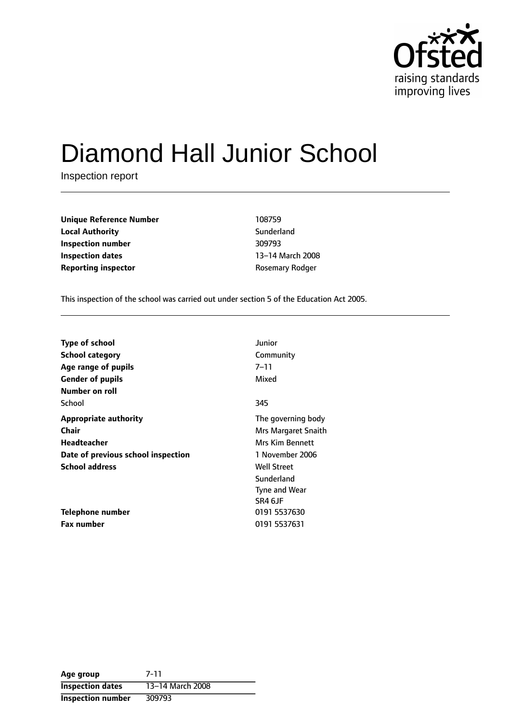

# Diamond Hall Junior School

Inspection report

**Unique Reference Number** 108759 **Local Authority Contract Sunderland Inspection number** 309793 **Inspection dates** 13-14 March 2008 **Reporting inspector CONFIDENTIFY ROSEMATE REPORTING** 

This inspection of the school was carried out under section 5 of the Education Act 2005.

| <b>Type of school</b>              | Junior                 |
|------------------------------------|------------------------|
| <b>School category</b>             | Community              |
| Age range of pupils                | 7–11                   |
| <b>Gender of pupils</b>            | Mixed                  |
| Number on roll                     |                        |
| School                             | 345                    |
| <b>Appropriate authority</b>       | The governing body     |
| <b>Chair</b>                       | Mrs Margaret Snaith    |
| Headteacher                        | <b>Mrs Kim Bennett</b> |
| Date of previous school inspection | 1 November 2006        |
| <b>School address</b>              | <b>Well Street</b>     |
|                                    | Sunderland             |
|                                    | Tyne and Wear          |
|                                    | SR4 6JF                |
| Telephone number                   | 0191 5537630           |
| <b>Fax number</b>                  | 0191 5537631           |

| Age group                | 7-11             |
|--------------------------|------------------|
| <b>Inspection dates</b>  | 13-14 March 2008 |
| <b>Inspection number</b> | 309793           |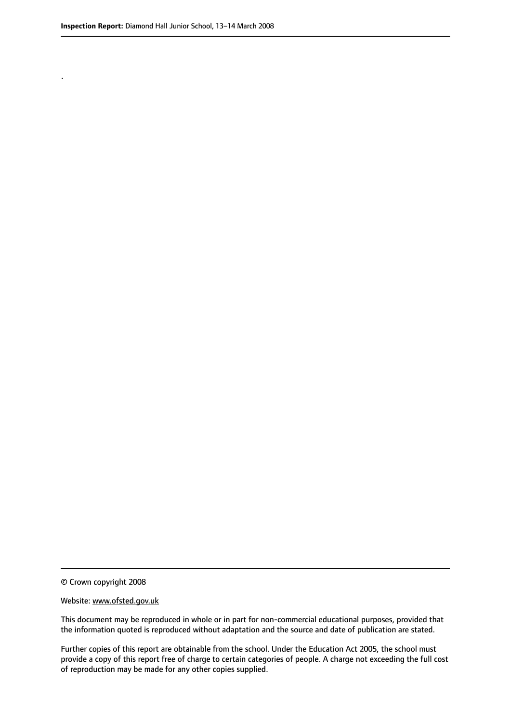.

© Crown copyright 2008

#### Website: www.ofsted.gov.uk

This document may be reproduced in whole or in part for non-commercial educational purposes, provided that the information quoted is reproduced without adaptation and the source and date of publication are stated.

Further copies of this report are obtainable from the school. Under the Education Act 2005, the school must provide a copy of this report free of charge to certain categories of people. A charge not exceeding the full cost of reproduction may be made for any other copies supplied.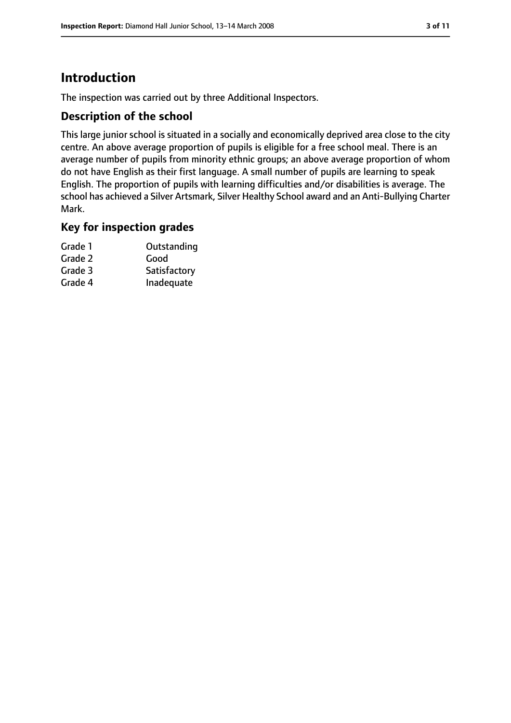# **Introduction**

The inspection was carried out by three Additional Inspectors.

### **Description of the school**

This large junior school is situated in a socially and economically deprived area close to the city centre. An above average proportion of pupils is eligible for a free school meal. There is an average number of pupils from minority ethnic groups; an above average proportion of whom do not have English as their first language. A small number of pupils are learning to speak English. The proportion of pupils with learning difficulties and/or disabilities is average. The school has achieved a Silver Artsmark, Silver Healthy School award and an Anti-Bullying Charter Mark.

### **Key for inspection grades**

| Grade 1 | Outstanding  |
|---------|--------------|
| Grade 2 | Good         |
| Grade 3 | Satisfactory |
| Grade 4 | Inadequate   |
|         |              |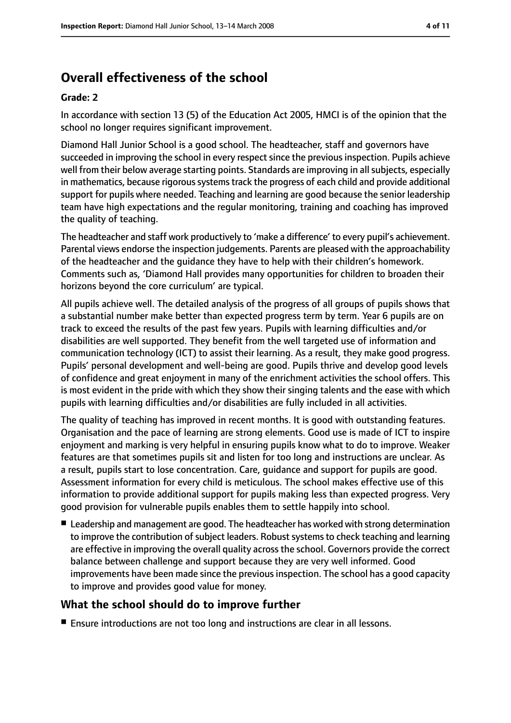# **Overall effectiveness of the school**

#### **Grade: 2**

In accordance with section 13 (5) of the Education Act 2005, HMCI is of the opinion that the school no longer requires significant improvement.

Diamond Hall Junior School is a good school. The headteacher, staff and governors have succeeded in improving the school in every respect since the previous inspection. Pupils achieve well from their below average starting points. Standards are improving in all subjects, especially in mathematics, because rigorous systems track the progress of each child and provide additional support for pupils where needed. Teaching and learning are good because the senior leadership team have high expectations and the regular monitoring, training and coaching has improved the quality of teaching.

The headteacher and staff work productively to 'make a difference' to every pupil's achievement. Parental views endorse the inspection judgements. Parents are pleased with the approachability of the headteacher and the guidance they have to help with their children's homework. Comments such as, 'Diamond Hall provides many opportunities for children to broaden their horizons beyond the core curriculum' are typical.

All pupils achieve well. The detailed analysis of the progress of all groups of pupils shows that a substantial number make better than expected progress term by term. Year 6 pupils are on track to exceed the results of the past few years. Pupils with learning difficulties and/or disabilities are well supported. They benefit from the well targeted use of information and communication technology (ICT) to assist their learning. As a result, they make good progress. Pupils' personal development and well-being are good. Pupils thrive and develop good levels of confidence and great enjoyment in many of the enrichment activities the school offers. This is most evident in the pride with which they show their singing talents and the ease with which pupils with learning difficulties and/or disabilities are fully included in all activities.

The quality of teaching has improved in recent months. It is good with outstanding features. Organisation and the pace of learning are strong elements. Good use is made of ICT to inspire enjoyment and marking is very helpful in ensuring pupils know what to do to improve. Weaker features are that sometimes pupils sit and listen for too long and instructions are unclear. As a result, pupils start to lose concentration. Care, guidance and support for pupils are good. Assessment information for every child is meticulous. The school makes effective use of this information to provide additional support for pupils making less than expected progress. Very good provision for vulnerable pupils enables them to settle happily into school.

■ Leadership and management are good. The headteacher has worked with strong determination to improve the contribution of subject leaders. Robust systems to check teaching and learning are effective in improving the overall quality across the school. Governors provide the correct balance between challenge and support because they are very well informed. Good improvements have been made since the previousinspection. The school has a good capacity to improve and provides good value for money.

## **What the school should do to improve further**

■ Ensure introductions are not too long and instructions are clear in all lessons.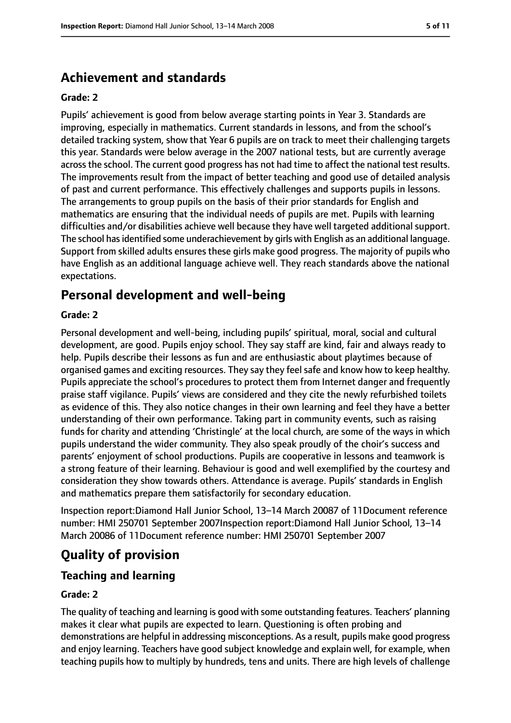# **Achievement and standards**

#### **Grade: 2**

Pupils' achievement is good from below average starting points in Year 3. Standards are improving, especially in mathematics. Current standards in lessons, and from the school's detailed tracking system, show that Year 6 pupils are on track to meet their challenging targets this year. Standards were below average in the 2007 national tests, but are currently average across the school. The current good progress has not had time to affect the national test results. The improvements result from the impact of better teaching and good use of detailed analysis of past and current performance. This effectively challenges and supports pupils in lessons. The arrangements to group pupils on the basis of their prior standards for English and mathematics are ensuring that the individual needs of pupils are met. Pupils with learning difficulties and/or disabilities achieve well because they have well targeted additional support. The school has identified some underachievement by girls with English as an additional language. Support from skilled adults ensures these girls make good progress. The majority of pupils who have English as an additional language achieve well. They reach standards above the national expectations.

## **Personal development and well-being**

#### **Grade: 2**

Personal development and well-being, including pupils' spiritual, moral, social and cultural development, are good. Pupils enjoy school. They say staff are kind, fair and always ready to help. Pupils describe their lessons as fun and are enthusiastic about playtimes because of organised games and exciting resources. They say they feel safe and know how to keep healthy. Pupils appreciate the school's procedures to protect them from Internet danger and frequently praise staff vigilance. Pupils' views are considered and they cite the newly refurbished toilets as evidence of this. They also notice changes in their own learning and feel they have a better understanding of their own performance. Taking part in community events, such as raising funds for charity and attending 'Christingle' at the local church, are some of the ways in which pupils understand the wider community. They also speak proudly of the choir's success and parents' enjoyment of school productions. Pupils are cooperative in lessons and teamwork is a strong feature of their learning. Behaviour is good and well exemplified by the courtesy and consideration they show towards others. Attendance is average. Pupils' standards in English and mathematics prepare them satisfactorily for secondary education.

Inspection report: Diamond Hall Junior School, 13-14 March 20087 of 11Document reference number: HMI 250701 September 2007Inspection report:Diamond Hall Junior School, 13-14 March 20086 of 11Document reference number: HMI 250701 September 2007

# **Quality of provision**

#### **Teaching and learning**

#### **Grade: 2**

The quality of teaching and learning is good with some outstanding features. Teachers' planning makes it clear what pupils are expected to learn. Questioning is often probing and demonstrations are helpful in addressing misconceptions. As a result, pupils make good progress and enjoy learning. Teachers have good subject knowledge and explain well, for example, when teaching pupils how to multiply by hundreds, tens and units. There are high levels of challenge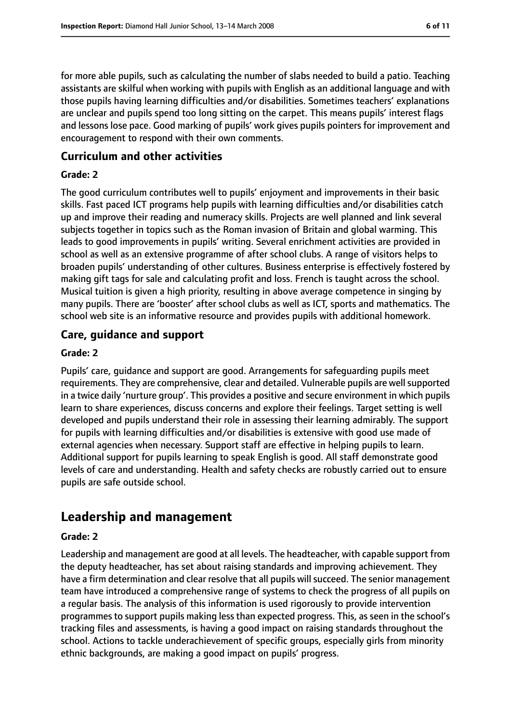for more able pupils, such as calculating the number of slabs needed to build a patio. Teaching assistants are skilful when working with pupils with English as an additional language and with those pupils having learning difficulties and/or disabilities. Sometimes teachers' explanations are unclear and pupils spend too long sitting on the carpet. This means pupils' interest flags and lessons lose pace. Good marking of pupils' work gives pupils pointers for improvement and encouragement to respond with their own comments.

## **Curriculum and other activities**

### **Grade: 2**

The good curriculum contributes well to pupils' enjoyment and improvements in their basic skills. Fast paced ICT programs help pupils with learning difficulties and/or disabilities catch up and improve their reading and numeracy skills. Projects are well planned and link several subjects together in topics such as the Roman invasion of Britain and global warming. This leads to good improvements in pupils' writing. Several enrichment activities are provided in school as well as an extensive programme of after school clubs. A range of visitors helps to broaden pupils' understanding of other cultures. Business enterprise is effectively fostered by making gift tags for sale and calculating profit and loss. French is taught across the school. Musical tuition is given a high priority, resulting in above average competence in singing by many pupils. There are 'booster' after school clubs as well as ICT, sports and mathematics. The school web site is an informative resource and provides pupils with additional homework.

## **Care, guidance and support**

### **Grade: 2**

Pupils' care, guidance and support are good. Arrangements for safeguarding pupils meet requirements. They are comprehensive, clear and detailed. Vulnerable pupils are well supported in a twice daily 'nurture group'. This provides a positive and secure environment in which pupils learn to share experiences, discuss concerns and explore their feelings. Target setting is well developed and pupils understand their role in assessing their learning admirably. The support for pupils with learning difficulties and/or disabilities is extensive with good use made of external agencies when necessary. Support staff are effective in helping pupils to learn. Additional support for pupils learning to speak English is good. All staff demonstrate good levels of care and understanding. Health and safety checks are robustly carried out to ensure pupils are safe outside school.

# **Leadership and management**

#### **Grade: 2**

Leadership and management are good at all levels. The headteacher, with capable support from the deputy headteacher, has set about raising standards and improving achievement. They have a firm determination and clear resolve that all pupils will succeed. The senior management team have introduced a comprehensive range of systems to check the progress of all pupils on a regular basis. The analysis of this information is used rigorously to provide intervention programmes to support pupils making less than expected progress. This, as seen in the school's tracking files and assessments, is having a good impact on raising standards throughout the school. Actions to tackle underachievement of specific groups, especially girls from minority ethnic backgrounds, are making a good impact on pupils' progress.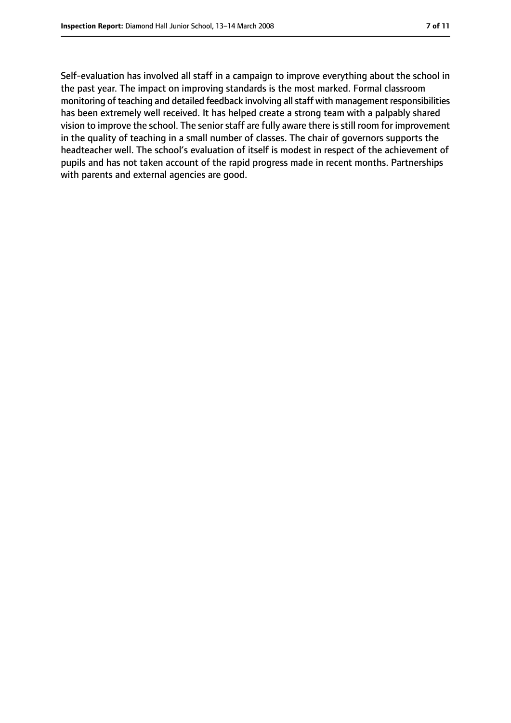Self-evaluation has involved all staff in a campaign to improve everything about the school in the past year. The impact on improving standards is the most marked. Formal classroom monitoring of teaching and detailed feedback involving all staff with management responsibilities has been extremely well received. It has helped create a strong team with a palpably shared vision to improve the school. The senior staff are fully aware there is still room for improvement in the quality of teaching in a small number of classes. The chair of governors supports the headteacher well. The school's evaluation of itself is modest in respect of the achievement of pupils and has not taken account of the rapid progress made in recent months. Partnerships with parents and external agencies are good.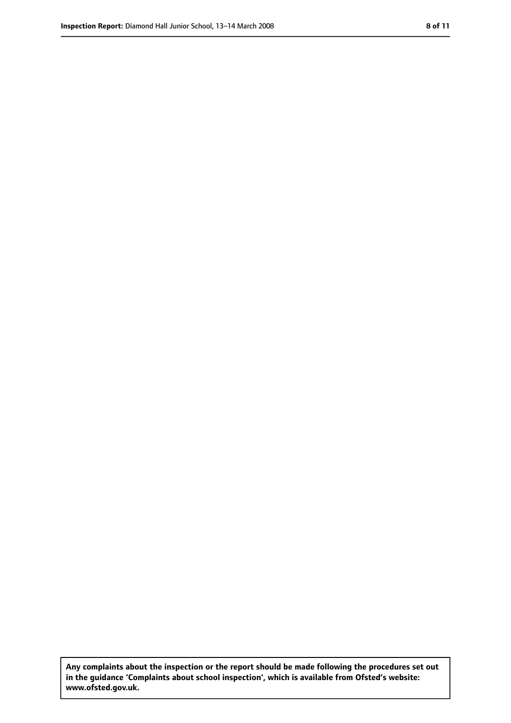**Any complaints about the inspection or the report should be made following the procedures set out in the guidance 'Complaints about school inspection', which is available from Ofsted's website: www.ofsted.gov.uk.**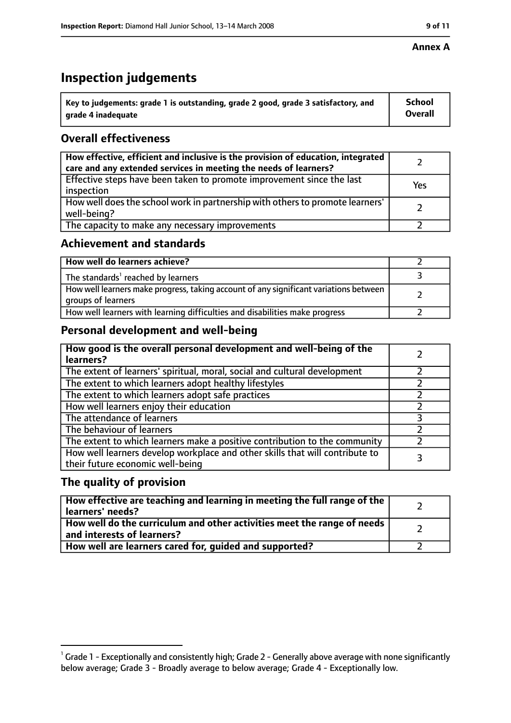#### **Annex A**

# **Inspection judgements**

| $^{\backprime}$ Key to judgements: grade 1 is outstanding, grade 2 good, grade 3 satisfactory, and | <b>School</b>  |
|----------------------------------------------------------------------------------------------------|----------------|
| arade 4 inadequate                                                                                 | <b>Overall</b> |

## **Overall effectiveness**

| How effective, efficient and inclusive is the provision of education, integrated<br>care and any extended services in meeting the needs of learners? |     |
|------------------------------------------------------------------------------------------------------------------------------------------------------|-----|
| Effective steps have been taken to promote improvement since the last<br>inspection                                                                  | Yes |
| How well does the school work in partnership with others to promote learners'<br>well-being?                                                         |     |
| The capacity to make any necessary improvements                                                                                                      |     |

## **Achievement and standards**

| How well do learners achieve?                                                                               |  |
|-------------------------------------------------------------------------------------------------------------|--|
| The standards <sup>1</sup> reached by learners                                                              |  |
| How well learners make progress, taking account of any significant variations between<br>groups of learners |  |
| How well learners with learning difficulties and disabilities make progress                                 |  |

## **Personal development and well-being**

| How good is the overall personal development and well-being of the<br>learners?                                  |  |
|------------------------------------------------------------------------------------------------------------------|--|
| The extent of learners' spiritual, moral, social and cultural development                                        |  |
| The extent to which learners adopt healthy lifestyles                                                            |  |
| The extent to which learners adopt safe practices                                                                |  |
| How well learners enjoy their education                                                                          |  |
| The attendance of learners                                                                                       |  |
| The behaviour of learners                                                                                        |  |
| The extent to which learners make a positive contribution to the community                                       |  |
| How well learners develop workplace and other skills that will contribute to<br>their future economic well-being |  |

### **The quality of provision**

| How effective are teaching and learning in meeting the full range of the<br>learners' needs?                     |  |
|------------------------------------------------------------------------------------------------------------------|--|
| How well do the curriculum and other activities meet the range of needs<br>$^{\rm t}$ and interests of learners? |  |
| How well are learners cared for, guided and supported?                                                           |  |

 $^1$  Grade 1 - Exceptionally and consistently high; Grade 2 - Generally above average with none significantly below average; Grade 3 - Broadly average to below average; Grade 4 - Exceptionally low.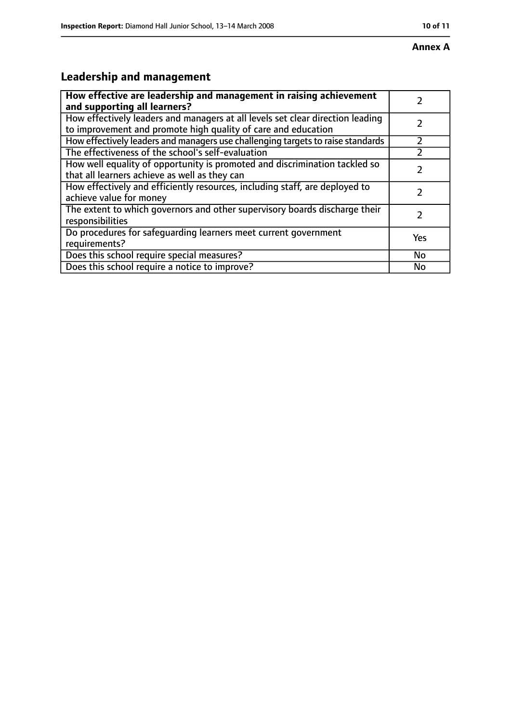# **Leadership and management**

| How effective are leadership and management in raising achievement<br>and supporting all learners?                                              |     |
|-------------------------------------------------------------------------------------------------------------------------------------------------|-----|
| How effectively leaders and managers at all levels set clear direction leading<br>to improvement and promote high quality of care and education |     |
| How effectively leaders and managers use challenging targets to raise standards                                                                 |     |
| The effectiveness of the school's self-evaluation                                                                                               |     |
| How well equality of opportunity is promoted and discrimination tackled so<br>that all learners achieve as well as they can                     |     |
| How effectively and efficiently resources, including staff, are deployed to<br>achieve value for money                                          |     |
| The extent to which governors and other supervisory boards discharge their<br>responsibilities                                                  |     |
| Do procedures for safequarding learners meet current government<br>requirements?                                                                | Yes |
| Does this school require special measures?                                                                                                      | No  |
| Does this school require a notice to improve?                                                                                                   | No  |